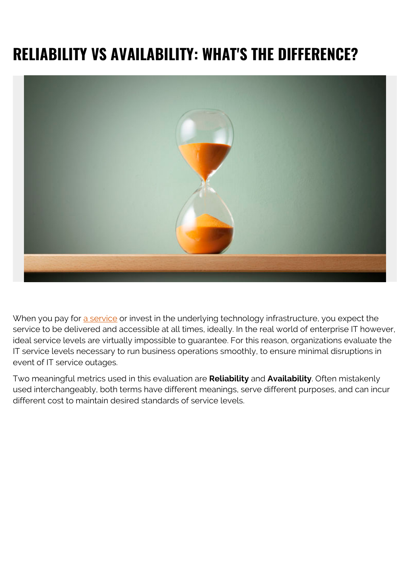# **RELIABILITY VS AVAILABILITY: WHAT'S THE DIFFERENCE?**



When you pay for [a service](https://blogs.bmc.com/blogs/it-service/) or invest in the underlying technology infrastructure, you expect the service to be delivered and accessible at all times, ideally. In the real world of enterprise IT however, ideal service levels are virtually impossible to guarantee. For this reason, organizations evaluate the IT service levels necessary to run business operations smoothly, to ensure minimal disruptions in event of IT service outages.

Two meaningful metrics used in this evaluation are **Reliability** and **Availability**. Often mistakenly used interchangeably, both terms have different meanings, serve different purposes, and can incur different cost to maintain desired standards of service levels.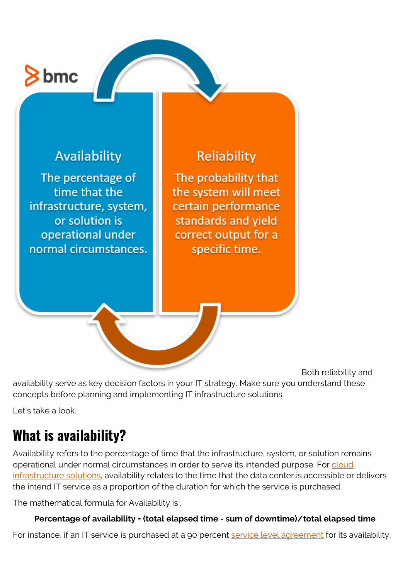# $3 \text{bmc}$

### Availability

The percentage of time that the infrastructure, system, or solution is operational under normal circumstances.

### Reliability

The probability that the system will meet certain performance standards and vield correct output for a specific time.

Both reliability and availability serve as key decision factors in your IT strategy. Make sure you understand these concepts before planning and implementing IT infrastructure solutions.

Let's take a look.

# **What is availability?**

Availability refers to the percentage of time that the infrastructure, system, or solution remains operational under normal circumstances in order to serve its intended purpose. For [cloud](https://blogs.bmc.com/blogs/public-private-hybrid-cloud/) [infrastructure solutions](https://blogs.bmc.com/blogs/public-private-hybrid-cloud/), availability relates to the time that the data center is accessible or delivers the intend IT service as a proportion of the duration for which the service is purchased.

The mathematical formula for Availability is :

#### **Percentage of availability = (total elapsed time - sum of downtime)/total elapsed time**

For instance, if an IT service is purchased at a 90 percent [service level agreement](https://www.bmc.com/blogs/sla-best-practices/) for its availability,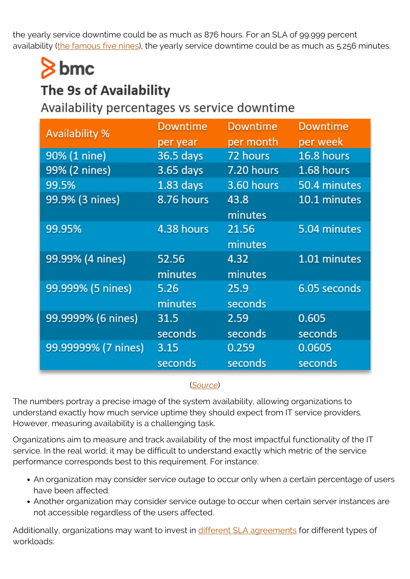the yearly service downtime could be as much as 876 hours. For an SLA of 99.999 percent availability [\(the famous five nines\)](https://blogs.bmc.com/blogs/service-availability-calculation-metrics/), the yearly service downtime could be as much as 5.256 minutes.

# $\geq$  bmc

### The 9s of Availability

Availability percentages vs service downtime

| <b>Availability %</b> | <b>Downtime</b>  | Downtime         | <b>Downtime</b>   |
|-----------------------|------------------|------------------|-------------------|
|                       | per year         | per month        | per week          |
| 90% (1 nine)          | 36.5 days        | 72 hours         | 16.8 hours        |
| 99% (2 nines)         | 3.65 days        | 7.20 hours       | 1.68 hours        |
| 99.5%                 | $1.83$ days      | 3.60 hours       | 50.4 minutes      |
| 99.9% (3 nines)       | 8.76 hours       | 43.8<br>minutes  | 10.1 minutes      |
| 99.95%                | 4.38 hours       | 21.56<br>minutes | 5.04 minutes      |
| 99.99% (4 nines)      | 52.56<br>minutes | 4.32<br>minutes  | 1.01 minutes      |
| 99.999% (5 nines)     | 5.26<br>minutes  | 25.9<br>seconds  | 6.05 seconds      |
| 99.9999% (6 nines)    | 31.5<br>seconds  | 2.59<br>seconds  | 0.605<br>seconds  |
| 99.99999% (7 nines)   | 3.15<br>seconds  | 0.259<br>seconds | 0.0605<br>seconds |

#### (*[Source](https://web.archive.org/web/20180728204314/https://www.digitaldaniels.com/availability-service-level-9s-equate/)*)

The numbers portray a precise image of the system availability, allowing organizations to understand exactly how much service uptime they should expect from IT service providers. However, measuring availability is a challenging task.

Organizations aim to measure and track availability of the most impactful functionality of the IT service. In the real world, it may be difficult to understand exactly which metric of the service performance corresponds best to this requirement. For instance:

- An organization may consider service outage to occur only when a certain percentage of users have been affected.
- Another organization may consider service outage to occur when certain server instances are not accessible regardless of the users affected.

Additionally, organizations may want to invest in [different SLA agreements](https://blogs.bmc.com/blogs/sla-best-practices/) for different types of workloads: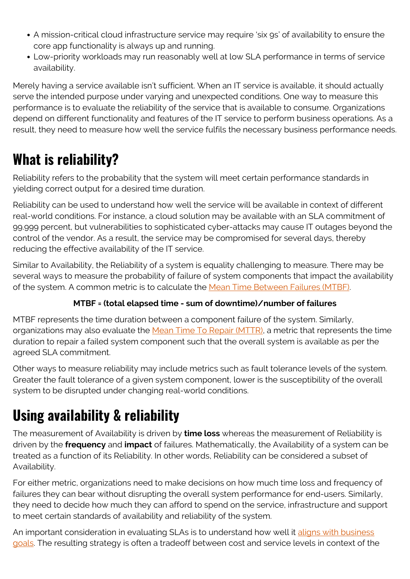- A mission-critical cloud infrastructure service may require 'six 9s' of availability to ensure the core app functionality is always up and running.
- Low-priority workloads may run reasonably well at low SLA performance in terms of service availability.

Merely having a service available isn't sufficient. When an IT service is available, it should actually serve the intended purpose under varying and unexpected conditions. One way to measure this performance is to evaluate the reliability of the service that is available to consume. Organizations depend on different functionality and features of the IT service to perform business operations. As a result, they need to measure how well the service fulfils the necessary business performance needs.

## **What is reliability?**

Reliability refers to the probability that the system will meet certain performance standards in yielding correct output for a desired time duration.

Reliability can be used to understand how well the service will be available in context of different real-world conditions. For instance, a cloud solution may be available with an SLA commitment of 99.999 percent, but vulnerabilities to sophisticated cyber-attacks may cause IT outages beyond the control of the vendor. As a result, the service may be compromised for several days, thereby reducing the effective availability of the IT service.

Similar to Availability, the Reliability of a system is equality challenging to measure. There may be several ways to measure the probability of failure of system components that impact the availability of the system. A common metric is to calculate the [Mean Time Between Failures \(MTBF\).](https://www.bmc.com/blogs/mtbf-vs-mtff-vs-mttr-whats-difference/)

#### **MTBF = (total elapsed time - sum of downtime)/number of failures**

MTBF represents the time duration between a component failure of the system. Similarly, organizations may also evaluate the [Mean Time To Repair \(MTTR\),](https://blogs.bmc.com/blogs/mttr-explained-repair-vs-recovery-in-a-digitized-environment/) a metric that represents the time duration to repair a failed system component such that the overall system is available as per the agreed SLA commitment.

Other ways to measure reliability may include metrics such as fault tolerance levels of the system. Greater the fault tolerance of a given system component, lower is the susceptibility of the overall system to be disrupted under changing real-world conditions.

## **Using availability & reliability**

The measurement of Availability is driven by **time loss** whereas the measurement of Reliability is driven by the **frequency** and **impact** of failures. Mathematically, the Availability of a system can be treated as a function of its Reliability. In other words, Reliability can be considered a subset of Availability.

For either metric, organizations need to make decisions on how much time loss and frequency of failures they can bear without disrupting the overall system performance for end-users. Similarly, they need to decide how much they can afford to spend on the service, infrastructure and support to meet certain standards of availability and reliability of the system.

An important consideration in evaluating SLAs is to understand how well it [aligns with business](https://blogs.bmc.com/blogs/it-business-alignment/) [goals.](https://blogs.bmc.com/blogs/it-business-alignment/) The resulting strategy is often a tradeoff between cost and service levels in context of the